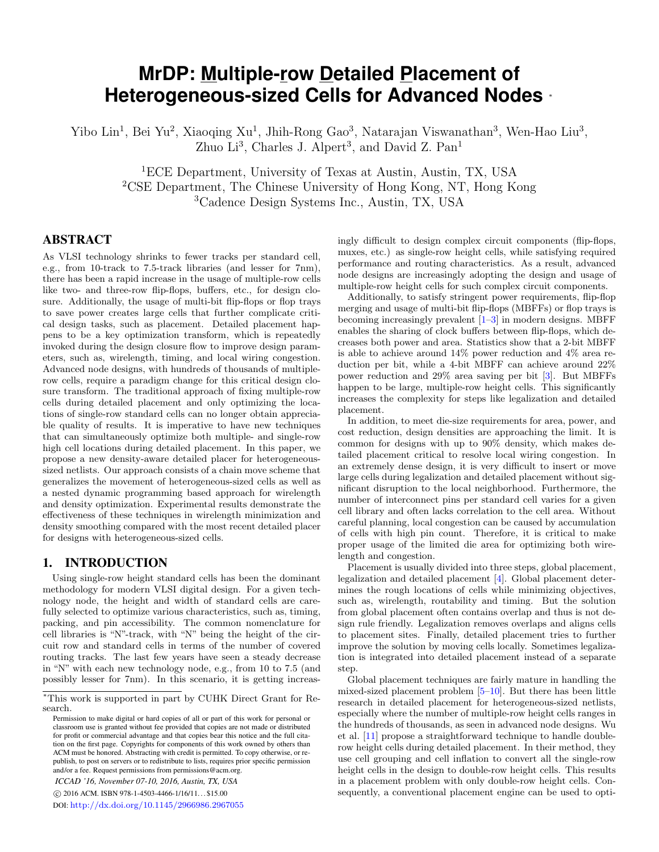# <span id="page-0-0"></span>**MrDP: Multiple-row Detailed Placement of Heterogeneous-sized Cells for Advanced Nodes** <sup>∗</sup>

Yibo Lin<sup>1</sup>, Bei Yu<sup>2</sup>, Xiaoqing Xu<sup>1</sup>, Jhih-Rong Gao<sup>3</sup>, Natarajan Viswanathan<sup>3</sup>, Wen-Hao Liu<sup>3</sup>, Zhuo Li<sup>3</sup>, Charles J. Alpert<sup>3</sup>, and David Z. Pan<sup>1</sup>

<sup>1</sup>ECE Department, University of Texas at Austin, Austin, TX, USA <sup>2</sup>CSE Department, The Chinese University of Hong Kong, NT, Hong Kong <sup>3</sup>Cadence Design Systems Inc., Austin, TX, USA

# ABSTRACT

As VLSI technology shrinks to fewer tracks per standard cell, e.g., from 10-track to 7.5-track libraries (and lesser for 7nm), there has been a rapid increase in the usage of multiple-row cells like two- and three-row flip-flops, buffers, etc., for design closure. Additionally, the usage of multi-bit flip-flops or flop trays to save power creates large cells that further complicate critical design tasks, such as placement. Detailed placement happens to be a key optimization transform, which is repeatedly invoked during the design closure flow to improve design parameters, such as, wirelength, timing, and local wiring congestion. Advanced node designs, with hundreds of thousands of multiplerow cells, require a paradigm change for this critical design closure transform. The traditional approach of fixing multiple-row cells during detailed placement and only optimizing the locations of single-row standard cells can no longer obtain appreciable quality of results. It is imperative to have new techniques that can simultaneously optimize both multiple- and single-row high cell locations during detailed placement. In this paper, we propose a new density-aware detailed placer for heterogeneoussized netlists. Our approach consists of a chain move scheme that generalizes the movement of heterogeneous-sized cells as well as a nested dynamic programming based approach for wirelength and density optimization. Experimental results demonstrate the effectiveness of these techniques in wirelength minimization and density smoothing compared with the most recent detailed placer for designs with heterogeneous-sized cells.

## 1. INTRODUCTION

Using single-row height standard cells has been the dominant methodology for modern VLSI digital design. For a given technology node, the height and width of standard cells are carefully selected to optimize various characteristics, such as, timing, packing, and pin accessibility. The common nomenclature for cell libraries is "N"-track, with "N" being the height of the circuit row and standard cells in terms of the number of covered routing tracks. The last few years have seen a steady decrease in "N" with each new technology node, e.g., from 10 to 7.5 (and possibly lesser for 7nm). In this scenario, it is getting increas-

*ICCAD '16, November 07-10, 2016, Austin, TX, USA* c 2016 ACM. ISBN 978-1-4503-4466-1/16/11. . . \$15.00

DOI: <http://dx.doi.org/10.1145/2966986.2967055>

ingly difficult to design complex circuit components (flip-flops, muxes, etc.) as single-row height cells, while satisfying required performance and routing characteristics. As a result, advanced node designs are increasingly adopting the design and usage of multiple-row height cells for such complex circuit components.

Additionally, to satisfy stringent power requirements, flip-flop merging and usage of multi-bit flip-flops (MBFFs) or flop trays is becoming increasingly prevalent  $[1-3]$  in modern designs. MBFF enables the sharing of clock buffers between flip-flops, which decreases both power and area. Statistics show that a 2-bit MBFF is able to achieve around 14% power reduction and 4% area reduction per bit, while a 4-bit MBFF can achieve around 22% power reduction and 29% area saving per bit [\[3\]](#page-6-1). But MBFFs happen to be large, multiple-row height cells. This significantly increases the complexity for steps like legalization and detailed placement.

In addition, to meet die-size requirements for area, power, and cost reduction, design densities are approaching the limit. It is common for designs with up to 90% density, which makes detailed placement critical to resolve local wiring congestion. In an extremely dense design, it is very difficult to insert or move large cells during legalization and detailed placement without significant disruption to the local neighborhood. Furthermore, the number of interconnect pins per standard cell varies for a given cell library and often lacks correlation to the cell area. Without careful planning, local congestion can be caused by accumulation of cells with high pin count. Therefore, it is critical to make proper usage of the limited die area for optimizing both wirelength and congestion.

Placement is usually divided into three steps, global placement, legalization and detailed placement [\[4\]](#page-6-2). Global placement determines the rough locations of cells while minimizing objectives, such as, wirelength, routability and timing. But the solution from global placement often contains overlap and thus is not design rule friendly. Legalization removes overlaps and aligns cells to placement sites. Finally, detailed placement tries to further improve the solution by moving cells locally. Sometimes legalization is integrated into detailed placement instead of a separate step.

Global placement techniques are fairly mature in handling the mixed-sized placement problem [\[5–](#page-6-3)[10\]](#page-7-0). But there has been little research in detailed placement for heterogeneous-sized netlists, especially where the number of multiple-row height cells ranges in the hundreds of thousands, as seen in advanced node designs. Wu et al. [\[11\]](#page-7-1) propose a straightforward technique to handle doublerow height cells during detailed placement. In their method, they use cell grouping and cell inflation to convert all the single-row height cells in the design to double-row height cells. This results in a placement problem with only double-row height cells. Consequently, a conventional placement engine can be used to opti-

<sup>∗</sup>This work is supported in part by CUHK Direct Grant for Research.

Permission to make digital or hard copies of all or part of this work for personal or classroom use is granted without fee provided that copies are not made or distributed for profit or commercial advantage and that copies bear this notice and the full citation on the first page. Copyrights for components of this work owned by others than ACM must be honored. Abstracting with credit is permitted. To copy otherwise, or republish, to post on servers or to redistribute to lists, requires prior specific permission and/or a fee. Request permissions from permissions@acm.org.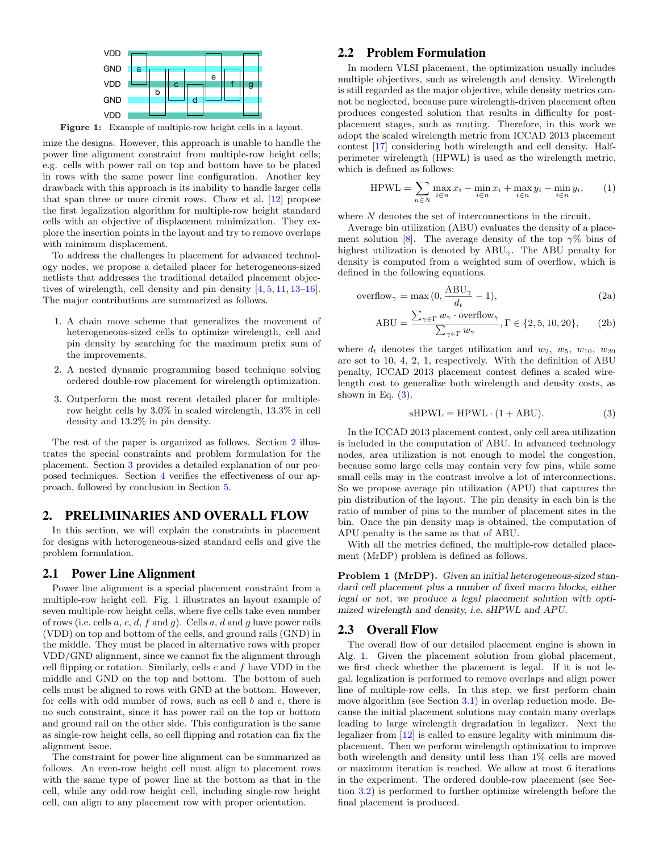<span id="page-1-1"></span>

Figure 1: Example of multiple-row height cells in a layout.

mize the designs. However, this approach is unable to handle the power line alignment constraint from multiple-row height cells; e.g. cells with power rail on top and bottom have to be placed in rows with the same power line configuration. Another key drawback with this approach is its inability to handle larger cells that span three or more circuit rows. Chow et al. [\[12\]](#page-7-2) propose the first legalization algorithm for multiple-row height standard cells with an objective of displacement minimization. They explore the insertion points in the layout and try to remove overlaps with minimum displacement.

To address the challenges in placement for advanced technology nodes, we propose a detailed placer for heterogeneous-sized netlists that addresses the traditional detailed placement objectives of wirelength, cell density and pin density [\[4,](#page-6-2) [5,](#page-6-3) [11,](#page-7-1) [13–](#page-7-3)[16\]](#page-7-4). The major contributions are summarized as follows.

- 1. A chain move scheme that generalizes the movement of heterogeneous-sized cells to optimize wirelength, cell and pin density by searching for the maximum prefix sum of the improvements.
- 2. A nested dynamic programming based technique solving ordered double-row placement for wirelength optimization.
- 3. Outperform the most recent detailed placer for multiplerow height cells by 3.0% in scaled wirelength, 13.3% in cell density and 13.2% in pin density.

The rest of the paper is organized as follows. Section [2](#page-1-0) illustrates the special constraints and problem formulation for the placement. Section [3](#page-2-0) provides a detailed explanation of our proposed techniques. Section [4](#page-6-4) verifies the effectiveness of our approach, followed by conclusion in Section [5.](#page-6-5)

#### <span id="page-1-0"></span>2. PRELIMINARIES AND OVERALL FLOW

In this section, we will explain the constraints in placement for designs with heterogeneous-sized standard cells and give the problem formulation.

#### 2.1 Power Line Alignment

Power line alignment is a special placement constraint from a multiple-row height cell. Fig. [1](#page-1-1) illustrates an layout example of seven multiple-row height cells, where five cells take even number of rows (i.e. cells  $a, c, d, f$  and  $g$ ). Cells  $a, d$  and  $g$  have power rails (VDD) on top and bottom of the cells, and ground rails (GND) in the middle. They must be placed in alternative rows with proper VDD/GND alignment, since we cannot fix the alignment through cell flipping or rotation. Similarly, cells  $c$  and  $f$  have VDD in the middle and GND on the top and bottom. The bottom of such cells must be aligned to rows with GND at the bottom. However, for cells with odd number of rows, such as cell  $b$  and  $e$ , there is no such constraint, since it has power rail on the top or bottom and ground rail on the other side. This configuration is the same as single-row height cells, so cell flipping and rotation can fix the alignment issue.

The constraint for power line alignment can be summarized as follows. An even-row height cell must align to placement rows with the same type of power line at the bottom as that in the cell, while any odd-row height cell, including single-row height cell, can align to any placement row with proper orientation.

#### 2.2 Problem Formulation

In modern VLSI placement, the optimization usually includes multiple objectives, such as wirelength and density. Wirelength is still regarded as the major objective, while density metrics cannot be neglected, because pure wirelength-driven placement often produces congested solution that results in difficulty for postplacement stages, such as routing. Therefore, in this work we adopt the scaled wirelength metric from ICCAD 2013 placement contest [\[17\]](#page-7-5) considering both wirelength and cell density. Halfperimeter wirelength (HPWL) is used as the wirelength metric, which is defined as follows:

HPWL = 
$$
\sum_{n \in N} \max_{i \in n} x_i - \min_{i \in n} x_i + \max_{i \in n} y_i - \min_{i \in n} y_i,
$$
 (1)

where  $N$  denotes the set of interconnections in the circuit.

Average bin utilization (ABU) evaluates the density of a place-ment solution [\[8\]](#page-7-6). The average density of the top  $\gamma\%$  bins of highest utilization is denoted by  $ABU_{\gamma}$ . The ABU penalty for density is computed from a weighted sum of overflow, which is defined in the following equations.

$$
\text{overflow}_{\gamma} = \max(0, \frac{\text{ABU}_{\gamma}}{d_t} - 1),\tag{2a}
$$

$$
ABU = \frac{\sum_{\gamma \in \Gamma} w_{\gamma} \cdot \text{overlap}_{\gamma}}{\sum_{\gamma \in \Gamma} w_{\gamma}}, \Gamma \in \{2, 5, 10, 20\},\qquad(2b)
$$

where  $d_t$  denotes the target utilization and  $w_2$ ,  $w_5$ ,  $w_{10}$ ,  $w_{20}$ are set to 10, 4, 2, 1, respectively. With the definition of ABU penalty, ICCAD 2013 placement contest defines a scaled wirelength cost to generalize both wirelength and density costs, as shown in Eq.  $(3)$ .

<span id="page-1-2"></span>
$$
sHPWL = HPWL \cdot (1 + ABU). \tag{3}
$$

In the ICCAD 2013 placement contest, only cell area utilization is included in the computation of ABU. In advanced technology nodes, area utilization is not enough to model the congestion, because some large cells may contain very few pins, while some small cells may in the contrast involve a lot of interconnections. So we propose average pin utilization (APU) that captures the pin distribution of the layout. The pin density in each bin is the ratio of number of pins to the number of placement sites in the bin. Once the pin density map is obtained, the computation of APU penalty is the same as that of ABU.

With all the metrics defined, the multiple-row detailed placement (MrDP) problem is defined as follows.

**Problem 1 (MrDP).** Given an initial heterogeneous-sized standard cell placement plus a number of fixed macro blocks, either legal or not, we produce a legal placement solution with optimized wirelength and density, i.e. sHPWL and APU.

#### 2.3 Overall Flow

The overall flow of our detailed placement engine is shown in Alg. [1.](#page-0-0) Given the placement solution from global placement, we first check whether the placement is legal. If it is not legal, legalization is performed to remove overlaps and align power line of multiple-row cells. In this step, we first perform chain move algorithm (see Section [3.1\)](#page-2-1) in overlap reduction mode. Because the initial placement solutions may contain many overlaps leading to large wirelength degradation in legalizer. Next the legalizer from [\[12\]](#page-7-2) is called to ensure legality with minimum displacement. Then we perform wirelength optimization to improve both wirelength and density until less than 1% cells are moved or maximum iteration is reached. We allow at most 6 iterations in the experiment. The ordered double-row placement (see Section [3.2\)](#page-4-0) is performed to further optimize wirelength before the final placement is produced.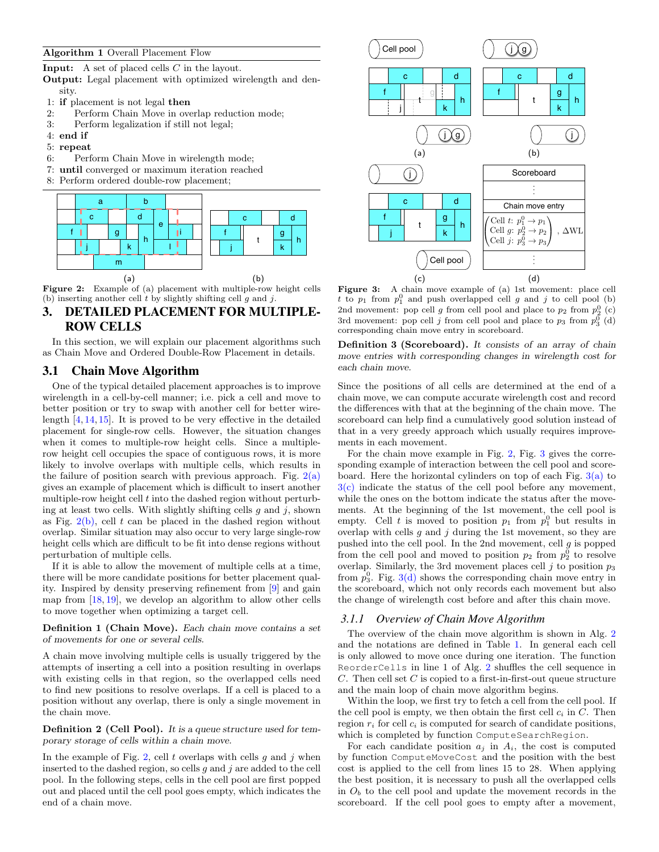#### Algorithm 1 Overall Placement Flow

Input: A set of placed cells C in the layout.

Output: Legal placement with optimized wirelength and density.

- 1: if placement is not legal then
- 2: Perform Chain Move in overlap reduction mode;
- 3: Perform legalization if still not legal;
- 4: end if
- 5: repeat
- 6: Perform Chain Move in wirelength mode;
- 7: until converged or maximum iteration reached
- 8: Perform ordered double-row placement;

<span id="page-2-4"></span><span id="page-2-2"></span>

Figure 2: Example of (a) placement with multiple-row height cells (b) inserting another cell  $t$  by slightly shifting cell  $g$  and  $j$ .

# <span id="page-2-0"></span>3. DETAILED PLACEMENT FOR MULTIPLE-ROW CELLS

In this section, we will explain our placement algorithms such as Chain Move and Ordered Double-Row Placement in details.

# <span id="page-2-1"></span>3.1 Chain Move Algorithm

One of the typical detailed placement approaches is to improve wirelength in a cell-by-cell manner; i.e. pick a cell and move to better position or try to swap with another cell for better wirelength [\[4,](#page-6-2) [14,](#page-7-7) [15\]](#page-7-8). It is proved to be very effective in the detailed placement for single-row cells. However, the situation changes when it comes to multiple-row height cells. Since a multiplerow height cell occupies the space of contiguous rows, it is more likely to involve overlaps with multiple cells, which results in the failure of position search with previous approach. Fig.  $2(a)$ gives an example of placement which is difficult to insert another multiple-row height cell  $t$  into the dashed region without perturbing at least two cells. With slightly shifting cells  $g$  and  $j$ , shown as Fig.  $2(b)$ , cell t can be placed in the dashed region without overlap. Similar situation may also occur to very large single-row height cells which are difficult to be fit into dense regions without perturbation of multiple cells.

If it is able to allow the movement of multiple cells at a time, there will be more candidate positions for better placement quality. Inspired by density preserving refinement from [\[9\]](#page-7-9) and gain map from  $[18, 19]$  $[18, 19]$ , we develop an algorithm to allow other cells to move together when optimizing a target cell.

Definition 1 (Chain Move). Each chain move contains a set of movements for one or several cells.

A chain move involving multiple cells is usually triggered by the attempts of inserting a cell into a position resulting in overlaps with existing cells in that region, so the overlapped cells need to find new positions to resolve overlaps. If a cell is placed to a position without any overlap, there is only a single movement in the chain move.

Definition 2 (Cell Pool). It is a queue structure used for temporary storage of cells within a chain move.

In the example of Fig. [2,](#page-2-4) cell  $t$  overlaps with cells  $g$  and  $j$  when inserted to the dashed region, so cells  $g$  and  $j$  are added to the cell pool. In the following steps, cells in the cell pool are first popped out and placed until the cell pool goes empty, which indicates the end of a chain move.

<span id="page-2-6"></span><span id="page-2-5"></span>

<span id="page-2-8"></span><span id="page-2-7"></span><span id="page-2-3"></span>Figure 3: A chain move example of (a) 1st movement: place cell t to  $p_1$  from  $p_1^0$  and push overlapped cell g and j to cell pool (b) 2nd movement: pop cell  $g$  from cell pool and place to  $p_2$  from  $p_2^0$  (c) 3rd movement: pop cell  $j$  from cell pool and place to  $p_3$  from  $p_3^0$  (d) corresponding chain move entry in scoreboard.

Definition 3 (Scoreboard). It consists of an array of chain move entries with corresponding changes in wirelength cost for each chain move.

Since the positions of all cells are determined at the end of a chain move, we can compute accurate wirelength cost and record the differences with that at the beginning of the chain move. The scoreboard can help find a cumulatively good solution instead of that in a very greedy approach which usually requires improvements in each movement.

For the chain move example in Fig. [2,](#page-2-4) Fig. [3](#page-2-5) gives the corresponding example of interaction between the cell pool and scoreboard. Here the horizontal cylinders on top of each Fig.  $3(a)$  to  $3(c)$  indicate the status of the cell pool before any movement, while the ones on the bottom indicate the status after the movements. At the beginning of the 1st movement, the cell pool is empty. Cell t is moved to position  $p_1$  from  $p_1^0$  but results in overlap with cells  $g$  and  $j$  during the 1st movement, so they are pushed into the cell pool. In the 2nd movement, cell  $g$  is popped from the cell pool and moved to position  $p_2$  from  $p_2^0$  to resolve overlap. Similarly, the 3rd movement places cell  $j$  to position  $p_3$ from  $p_3^0$ . Fig. [3\(d\)](#page-2-8) shows the corresponding chain move entry in the scoreboard, which not only records each movement but also the change of wirelength cost before and after this chain move.

#### *3.1.1 Overview of Chain Move Algorithm*

The overview of the chain move algorithm is shown in Alg. [2](#page-0-0) and the notations are defined in Table [1.](#page-3-0) In general each cell is only allowed to move once during one iteration. The function ReorderCells in line 1 of Alg. [2](#page-0-0) shuffles the cell sequence in  $C$ . Then cell set  $C$  is copied to a first-in-first-out queue structure and the main loop of chain move algorithm begins.

Within the loop, we first try to fetch a cell from the cell pool. If the cell pool is empty, we then obtain the first cell  $c_i$  in  $C$ . Then region  $r_i$  for cell  $c_i$  is computed for search of candidate positions, which is completed by function ComputeSearchRegion.

For each candidate position  $a_j$  in  $A_i$ , the cost is computed by function ComputeMoveCost and the position with the best cost is applied to the cell from lines 15 to 28. When applying the best position, it is necessary to push all the overlapped cells in  $O<sub>b</sub>$  to the cell pool and update the movement records in the scoreboard. If the cell pool goes to empty after a movement,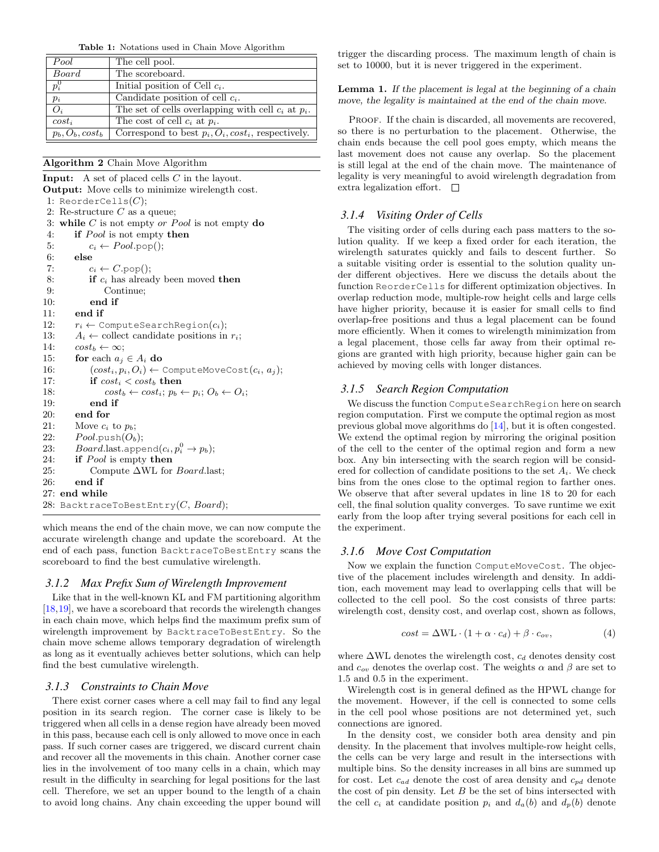Table 1: Notations used in Chain Move Algorithm

<span id="page-3-0"></span>

| Pool               | The cell pool.                                          |
|--------------------|---------------------------------------------------------|
| Board              | The scoreboard.                                         |
| $p_i^0$            | Initial position of Cell $c_i$ .                        |
| $p_i$              | Candidate position of cell $c_i$ .                      |
| $O_i$              | The set of cells overlapping with cell $c_i$ at $p_i$ . |
| $cost_i$           | The cost of cell $c_i$ at $p_i$ .                       |
| $p_b, O_b, cost_b$ | Correspond to best $p_i, O_i, cost_i$ , respectively.   |

#### Algorithm 2 Chain Move Algorithm

| <b>Input:</b> A set of placed cells $C$ in the layout.              |  |  |  |  |  |  |  |  |  |  |
|---------------------------------------------------------------------|--|--|--|--|--|--|--|--|--|--|
| <b>Output:</b> Move cells to minimize wirelength cost.              |  |  |  |  |  |  |  |  |  |  |
| 1: ReorderCells $(C)$ ;                                             |  |  |  |  |  |  |  |  |  |  |
| 2: Re-structure $C$ as a queue;                                     |  |  |  |  |  |  |  |  |  |  |
| 3: while C is not empty or Pool is not empty do                     |  |  |  |  |  |  |  |  |  |  |
| <b>if</b> <i>Pool</i> is not empty <b>then</b>                      |  |  |  |  |  |  |  |  |  |  |
| $c_i \leftarrow Pool.pop();$                                        |  |  |  |  |  |  |  |  |  |  |
| else                                                                |  |  |  |  |  |  |  |  |  |  |
| $c_i \leftarrow C.\text{pop}$ .                                     |  |  |  |  |  |  |  |  |  |  |
| <b>if</b> $c_i$ has already been moved <b>then</b>                  |  |  |  |  |  |  |  |  |  |  |
| Continue;                                                           |  |  |  |  |  |  |  |  |  |  |
| end if                                                              |  |  |  |  |  |  |  |  |  |  |
| end if                                                              |  |  |  |  |  |  |  |  |  |  |
| $r_i \leftarrow$ ComputeSearchReqion $(c_i)$ ;                      |  |  |  |  |  |  |  |  |  |  |
| $A_i \leftarrow$ collect candidate positions in $r_i$ ;             |  |  |  |  |  |  |  |  |  |  |
| $cost_b \leftarrow \infty$ ;                                        |  |  |  |  |  |  |  |  |  |  |
| for each $a_i \in A_i$ do                                           |  |  |  |  |  |  |  |  |  |  |
| $(cost_i, p_i, O_i) \leftarrow$ ComputeMoveCost $(c_i, a_j)$ ;      |  |  |  |  |  |  |  |  |  |  |
| if $cost_i < cost_b$ then                                           |  |  |  |  |  |  |  |  |  |  |
| $cost_b \leftarrow cost_i; p_b \leftarrow p_i; O_b \leftarrow O_i;$ |  |  |  |  |  |  |  |  |  |  |
| end if                                                              |  |  |  |  |  |  |  |  |  |  |
| end for                                                             |  |  |  |  |  |  |  |  |  |  |
| Move $c_i$ to $p_b$ :                                               |  |  |  |  |  |  |  |  |  |  |
| $Pool.push(O_b);$                                                   |  |  |  |  |  |  |  |  |  |  |
| <i>Board.last.append</i> $(c_i, p_i^0 \rightarrow p_b);$            |  |  |  |  |  |  |  |  |  |  |
| <b>if</b> <i>Pool</i> is empty <b>then</b>                          |  |  |  |  |  |  |  |  |  |  |
| Compute $\Delta WL$ for <i>Board</i> .last;                         |  |  |  |  |  |  |  |  |  |  |
| end if                                                              |  |  |  |  |  |  |  |  |  |  |
| 27: end while                                                       |  |  |  |  |  |  |  |  |  |  |
| 28: BacktraceToBestEntry(C, $Board$ );                              |  |  |  |  |  |  |  |  |  |  |
|                                                                     |  |  |  |  |  |  |  |  |  |  |

which means the end of the chain move, we can now compute the accurate wirelength change and update the scoreboard. At the end of each pass, function BacktraceToBestEntry scans the scoreboard to find the best cumulative wirelength.

#### *3.1.2 Max Prefix Sum of Wirelength Improvement*

Like that in the well-known KL and FM partitioning algorithm [\[18](#page-7-10)[,19\]](#page-7-11), we have a scoreboard that records the wirelength changes in each chain move, which helps find the maximum prefix sum of wirelength improvement by BacktraceToBestEntry. So the chain move scheme allows temporary degradation of wirelength as long as it eventually achieves better solutions, which can help find the best cumulative wirelength.

#### *3.1.3 Constraints to Chain Move*

There exist corner cases where a cell may fail to find any legal position in its search region. The corner case is likely to be triggered when all cells in a dense region have already been moved in this pass, because each cell is only allowed to move once in each pass. If such corner cases are triggered, we discard current chain and recover all the movements in this chain. Another corner case lies in the involvement of too many cells in a chain, which may result in the difficulty in searching for legal positions for the last cell. Therefore, we set an upper bound to the length of a chain to avoid long chains. Any chain exceeding the upper bound will

trigger the discarding process. The maximum length of chain is set to 10000, but it is never triggered in the experiment.

#### Lemma 1. If the placement is legal at the beginning of a chain move, the legality is maintained at the end of the chain move.

PROOF. If the chain is discarded, all movements are recovered, so there is no perturbation to the placement. Otherwise, the chain ends because the cell pool goes empty, which means the last movement does not cause any overlap. So the placement is still legal at the end of the chain move. The maintenance of legality is very meaningful to avoid wirelength degradation from extra legalization effort.  $\square$ 

### *3.1.4 Visiting Order of Cells*

The visiting order of cells during each pass matters to the solution quality. If we keep a fixed order for each iteration, the wirelength saturates quickly and fails to descent further. So a suitable visiting order is essential to the solution quality under different objectives. Here we discuss the details about the function ReorderCells for different optimization objectives. In overlap reduction mode, multiple-row height cells and large cells have higher priority, because it is easier for small cells to find overlap-free positions and thus a legal placement can be found more efficiently. When it comes to wirelength minimization from a legal placement, those cells far away from their optimal regions are granted with high priority, because higher gain can be achieved by moving cells with longer distances.

#### *3.1.5 Search Region Computation*

We discuss the function ComputeSearchRegion here on search region computation. First we compute the optimal region as most previous global move algorithms do [\[14\]](#page-7-7), but it is often congested. We extend the optimal region by mirroring the original position of the cell to the center of the optimal region and form a new box. Any bin intersecting with the search region will be considered for collection of candidate positions to the set  $A_i$ . We check bins from the ones close to the optimal region to farther ones. We observe that after several updates in line 18 to 20 for each cell, the final solution quality converges. To save runtime we exit early from the loop after trying several positions for each cell in the experiment.

#### *3.1.6 Move Cost Computation*

Now we explain the function ComputeMoveCost. The objective of the placement includes wirelength and density. In addition, each movement may lead to overlapping cells that will be collected to the cell pool. So the cost consists of three parts: wirelength cost, density cost, and overlap cost, shown as follows,

<span id="page-3-1"></span>
$$
cost = \Delta WL \cdot (1 + \alpha \cdot c_d) + \beta \cdot c_{ov}, \tag{4}
$$

where  $\Delta \text{WL}$  denotes the wirelength cost,  $c_d$  denotes density cost and  $c_{ov}$  denotes the overlap cost. The weights  $\alpha$  and  $\beta$  are set to 1.5 and 0.5 in the experiment.

Wirelength cost is in general defined as the HPWL change for the movement. However, if the cell is connected to some cells in the cell pool whose positions are not determined yet, such connections are ignored.

In the density cost, we consider both area density and pin density. In the placement that involves multiple-row height cells, the cells can be very large and result in the intersections with multiple bins. So the density increases in all bins are summed up for cost. Let  $c_{ad}$  denote the cost of area density and  $c_{pd}$  denote the cost of pin density. Let  $B$  be the set of bins intersected with the cell  $c_i$  at candidate position  $p_i$  and  $d_a(b)$  and  $d_p(b)$  denote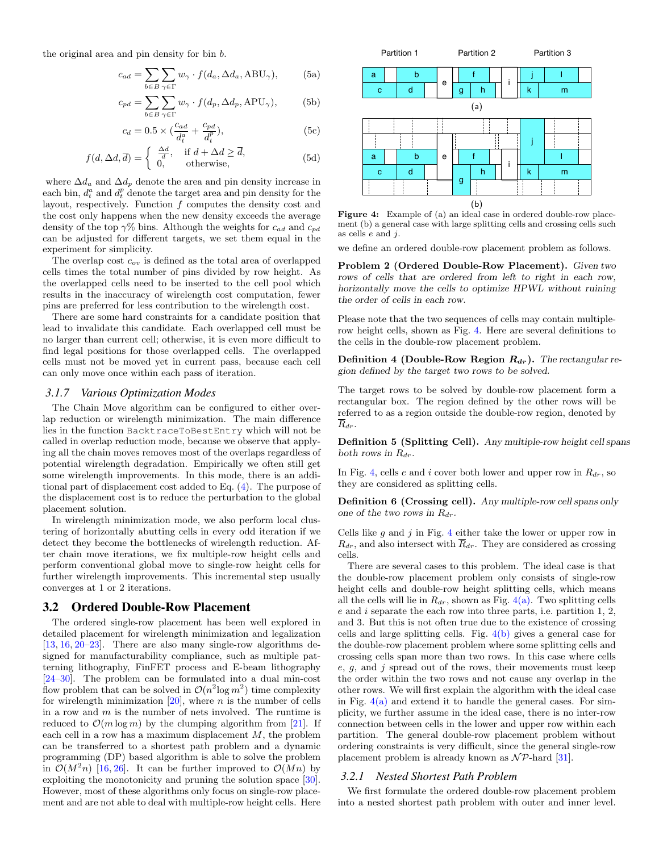the original area and pin density for bin b.

$$
c_{ad} = \sum_{b \in B} \sum_{\gamma \in \Gamma} w_{\gamma} \cdot f(d_a, \Delta d_a, \text{ABU}_{\gamma}), \tag{5a}
$$

$$
c_{pd} = \sum_{b \in B} \sum_{\gamma \in \Gamma} w_{\gamma} \cdot f(d_p, \Delta d_p, \text{APU}_{\gamma}), \tag{5b}
$$

$$
c_d = 0.5 \times \left(\frac{c_{ad}}{d_t^a} + \frac{c_{pd}}{d_t^p}\right),\tag{5c}
$$

$$
f(d, \Delta d, \overline{d}) = \begin{cases} \frac{\Delta d}{d}, & \text{if } d + \Delta d \ge \overline{d}, \\ 0, & \text{otherwise}, \end{cases}
$$
(5d)

where  $\Delta d_a$  and  $\Delta d_p$  denote the area and pin density increase in each bin,  $d_t^a$  and  $d_t^p$  denote the target area and pin density for the layout, respectively. Function f computes the density cost and the cost only happens when the new density exceeds the average density of the top  $\gamma\%$  bins. Although the weights for  $c_{ad}$  and  $c_{pd}$ can be adjusted for different targets, we set them equal in the experiment for simplicity.

The overlap cost  $c_{ov}$  is defined as the total area of overlapped cells times the total number of pins divided by row height. As the overlapped cells need to be inserted to the cell pool which results in the inaccuracy of wirelength cost computation, fewer pins are preferred for less contribution to the wirelength cost.

There are some hard constraints for a candidate position that lead to invalidate this candidate. Each overlapped cell must be no larger than current cell; otherwise, it is even more difficult to find legal positions for those overlapped cells. The overlapped cells must not be moved yet in current pass, because each cell can only move once within each pass of iteration.

#### *3.1.7 Various Optimization Modes*

The Chain Move algorithm can be configured to either overlap reduction or wirelength minimization. The main difference lies in the function BacktraceToBestEntry which will not be called in overlap reduction mode, because we observe that applying all the chain moves removes most of the overlaps regardless of potential wirelength degradation. Empirically we often still get some wirelength improvements. In this mode, there is an additional part of displacement cost added to Eq. [\(4\)](#page-3-1). The purpose of the displacement cost is to reduce the perturbation to the global placement solution.

In wirelength minimization mode, we also perform local clustering of horizontally abutting cells in every odd iteration if we detect they become the bottlenecks of wirelength reduction. After chain move iterations, we fix multiple-row height cells and perform conventional global move to single-row height cells for further wirelength improvements. This incremental step usually converges at 1 or 2 iterations.

#### <span id="page-4-0"></span>3.2 Ordered Double-Row Placement

The ordered single-row placement has been well explored in detailed placement for wirelength minimization and legalization [\[13,](#page-7-3) [16,](#page-7-4) [20–](#page-7-12)[23\]](#page-7-13). There are also many single-row algorithms designed for manufacturability compliance, such as multiple patterning lithography, FinFET process and E-beam lithography [\[24](#page-7-14)[–30\]](#page-7-15). The problem can be formulated into a dual min-cost flow problem that can be solved in  $\mathcal{O}(n^2 \log m^2)$  time complexity for wirelength minimization  $[20]$ , where *n* is the number of cells in a row and  $m$  is the number of nets involved. The runtime is reduced to  $\mathcal{O}(m \log m)$  by the clumping algorithm from [\[21\]](#page-7-16). If each cell in a row has a maximum displacement  $M$ , the problem can be transferred to a shortest path problem and a dynamic programming (DP) based algorithm is able to solve the problem in  $\mathcal{O}(M^2n)$  [\[16,](#page-7-4) [26\]](#page-7-17). It can be further improved to  $\mathcal{O}(Mn)$  by exploiting the monotonicity and pruning the solution space [\[30\]](#page-7-15). However, most of these algorithms only focus on single-row placement and are not able to deal with multiple-row height cells. Here

<span id="page-4-2"></span><span id="page-4-1"></span>

<span id="page-4-3"></span>Figure 4: Example of (a) an ideal case in ordered double-row placement (b) a general case with large splitting cells and crossing cells such as cells  $e$  and  $j$ .

we define an ordered double-row placement problem as follows.

Problem 2 (Ordered Double-Row Placement). Given two rows of cells that are ordered from left to right in each row, horizontally move the cells to optimize HPWL without ruining the order of cells in each row.

Please note that the two sequences of cells may contain multiplerow height cells, shown as Fig. [4.](#page-4-1) Here are several definitions to the cells in the double-row placement problem.

Definition 4 (Double-Row Region  $R_{dr}$ ). The rectangular region defined by the target two rows to be solved.

The target rows to be solved by double-row placement form a rectangular box. The region defined by the other rows will be referred to as a region outside the double-row region, denoted by  $\overline{R}_{dr}.$ 

Definition 5 (Splitting Cell). Any multiple-row height cell spans both rows in  $R_{dr}$ .

In Fig. [4,](#page-4-1) cells e and i cover both lower and upper row in  $R_{dr}$ , so they are considered as splitting cells.

Definition 6 (Crossing cell). Any multiple-row cell spans only one of the two rows in  $R_{dr}$ .

Cells like  $g$  and  $j$  in Fig. [4](#page-4-1) either take the lower or upper row in  $R_{dr}$ , and also intersect with  $\overline{R}_{dr}$ . They are considered as crossing cells.

There are several cases to this problem. The ideal case is that the double-row placement problem only consists of single-row height cells and double-row height splitting cells, which means all the cells will lie in  $R_{dr}$ , shown as Fig. [4\(a\).](#page-4-2) Two splitting cells e and i separate the each row into three parts, i.e. partition 1, 2, and 3. But this is not often true due to the existence of crossing cells and large splitting cells. Fig. [4\(b\)](#page-4-3) gives a general case for the double-row placement problem where some splitting cells and crossing cells span more than two rows. In this case where cells e,  $q$ , and  $j$  spread out of the rows, their movements must keep the order within the two rows and not cause any overlap in the other rows. We will first explain the algorithm with the ideal case in Fig.  $4(a)$  and extend it to handle the general cases. For simplicity, we further assume in the ideal case, there is no inter-row connection between cells in the lower and upper row within each partition. The general double-row placement problem without ordering constraints is very difficult, since the general single-row placement problem is already known as  $\mathcal{NP}$ -hard [\[31\]](#page-7-18).

#### *3.2.1 Nested Shortest Path Problem*

We first formulate the ordered double-row placement problem into a nested shortest path problem with outer and inner level.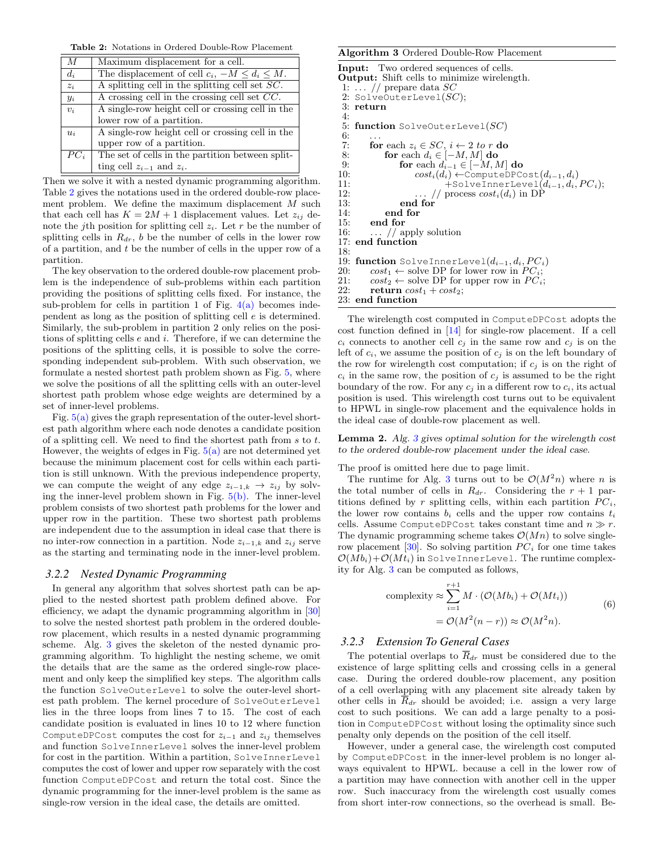Table 2: Notations in Ordered Double-Row Placement

<span id="page-5-0"></span>

| $\boldsymbol{M}$ | Maximum displacement for a cell.                        |
|------------------|---------------------------------------------------------|
| $d_i$            | The displacement of cell $c_i$ , $-M \leq d_i \leq M$ . |
| $z_i$            | A splitting cell in the splitting cell set $SC$ .       |
| $y_i$            | A crossing cell in the crossing cell set $CC$ .         |
| $v_i$            | A single-row height cell or crossing cell in the        |
|                  | lower row of a partition.                               |
| $u_i$            | A single-row height cell or crossing cell in the        |
|                  | upper row of a partition.                               |
| $PC_i$           | The set of cells in the partition between split-        |
|                  | ting cell $z_{i-1}$ and $z_i$ .                         |

Then we solve it with a nested dynamic programming algorithm. Table [2](#page-5-0) gives the notations used in the ordered double-row placement problem. We define the maximum displacement  $M$  such that each cell has  $K = 2M + 1$  displacement values. Let  $z_{ij}$  denote the j<sup>th</sup> position for splitting cell  $z_i$ . Let r be the number of splitting cells in  $R_{dr}$ , b be the number of cells in the lower row of a partition, and t be the number of cells in the upper row of a partition.

The key observation to the ordered double-row placement problem is the independence of sub-problems within each partition providing the positions of splitting cells fixed. For instance, the sub-problem for cells in partition 1 of Fig.  $4(a)$  becomes independent as long as the position of splitting cell e is determined. Similarly, the sub-problem in partition 2 only relies on the positions of splitting cells  $e$  and  $i$ . Therefore, if we can determine the positions of the splitting cells, it is possible to solve the corresponding independent sub-problem. With such observation, we formulate a nested shortest path problem shown as Fig. [5,](#page-6-6) where we solve the positions of all the splitting cells with an outer-level shortest path problem whose edge weights are determined by a set of inner-level problems.

Fig.  $5(a)$  gives the graph representation of the outer-level shortest path algorithm where each node denotes a candidate position of a splitting cell. We need to find the shortest path from s to t. However, the weights of edges in Fig.  $5(a)$  are not determined yet because the minimum placement cost for cells within each partition is still unknown. With the previous independence property, we can compute the weight of any edge  $z_{i-1,k} \rightarrow z_{ij}$  by solving the inner-level problem shown in Fig.  $5(b)$ . The inner-level problem consists of two shortest path problems for the lower and upper row in the partition. These two shortest path problems are independent due to the assumption in ideal case that there is no inter-row connection in a partition. Node  $z_{i-1,k}$  and  $z_{ij}$  serve as the starting and terminating node in the inner-level problem.

#### *3.2.2 Nested Dynamic Programming*

In general any algorithm that solves shortest path can be applied to the nested shortest path problem defined above. For efficiency, we adapt the dynamic programming algorithm in [\[30\]](#page-7-15) to solve the nested shortest path problem in the ordered doublerow placement, which results in a nested dynamic programming scheme. Alg. [3](#page-0-0) gives the skeleton of the nested dynamic programming algorithm. To highlight the nesting scheme, we omit the details that are the same as the ordered single-row placement and only keep the simplified key steps. The algorithm calls the function SolveOuterLevel to solve the outer-level shortest path problem. The kernel procedure of SolveOuterLevel lies in the three loops from lines 7 to 15. The cost of each candidate position is evaluated in lines 10 to 12 where function ComputeDPCost computes the cost for  $z_{i-1}$  and  $z_{ij}$  themselves and function SolveInnerLevel solves the inner-level problem for cost in the partition. Within a partition, SolveInnerLevel computes the cost of lower and upper row separately with the cost function ComputeDPCost and return the total cost. Since the dynamic programming for the inner-level problem is the same as single-row version in the ideal case, the details are omitted.

#### Algorithm 3 Ordered Double-Row Placement

```
Input: Two ordered sequences of cells.
Output: Shift cells to minimize wirelength.
 1: \ldots // prepare data SC
 2: SolveOuterLevel(SC);3: return
 4:
 5: function SolveOuterLevel(SC)
 rac{6}{7}7: for each z_i \in SC, i \leftarrow 2 to r do<br>8: for each d_i \in [-M, M] do
 8: for each d_i \in [-M, M] do<br>9: for each d_{i-1} \in [-M, M]9: for each d_{i-1} \in [-M, M] do<br>10: cost_i(d_i) \leftarrow \text{ComputeDPC}10: cost_i(d_i) \leftarrow ComputeDPCost(d_{i-1}, d_i)<br>11: +SolveInnerLevel(d_{i-1}, d_i)11: +SolveInnerLevel(d_{i-1}, d_i, PC_i);<br>12: // process cost_i(d_i) in DP
12: \ldots // process cost_i(d_i) in DP<br>13: end for
13: end for
              end for
15: end for
16: \ldots // apply solution 17: end function
     end function
18:
19: function SolveInnerLevel(d_{i-1}, d_i, PC_i)20: cost_1 \leftarrow \text{solve DP} for lower row in PC_i;<br>21: cost_2 \leftarrow \text{solve DP} for upper row in PC_i;
21: cost_2 \leftarrow solve DP for upper row in PC_i;<br>22: return cost_1 + cost_2;
          return cost_1 + cost_2;
23: end function
```
The wirelength cost computed in ComputeDPCost adopts the cost function defined in [\[14\]](#page-7-7) for single-row placement. If a cell  $c_i$  connects to another cell  $c_j$  in the same row and  $c_j$  is on the left of  $c_i$ , we assume the position of  $c_j$  is on the left boundary of the row for wirelength cost computation; if  $c_j$  is on the right of  $c_i$  in the same row, the position of  $c_j$  is assumed to be the right boundary of the row. For any  $c_i$  in a different row to  $c_i$ , its actual position is used. This wirelength cost turns out to be equivalent to HPWL in single-row placement and the equivalence holds in the ideal case of double-row placement as well.

Lemma 2. Alg. [3](#page-0-0) gives optimal solution for the wirelength cost to the ordered double-row placement under the ideal case.

The proof is omitted here due to page limit.

The runtime for Alg. [3](#page-0-0) turns out to be  $\mathcal{O}(M^2n)$  where n is the total number of cells in  $R_{dr}$ . Considering the  $r + 1$  partitions defined by r splitting cells, within each partition  $PC_i$ , the lower row contains  $b_i$  cells and the upper row contains  $t_i$ cells. Assume ComputeDPCost takes constant time and  $n \gg r$ . The dynamic programming scheme takes  $\mathcal{O}(Mn)$  to solve single-row placement [\[30\]](#page-7-15). So solving partition  $PC<sub>i</sub>$  for one time takes  $\mathcal{O}(Mb_i)+\mathcal{O}(Mt_i)$  in SolveInnerLevel. The runtime complexity for Alg. [3](#page-0-0) can be computed as follows,

complexity 
$$
\approx \sum_{i=1}^{r+1} M \cdot (\mathcal{O}(Mb_i) + \mathcal{O}(Mt_i))
$$
  
=  $\mathcal{O}(M^2(n-r)) \approx \mathcal{O}(M^2n).$  (6)

#### *3.2.3 Extension To General Cases*

The potential overlaps to  $\overline{R}_{dr}$  must be considered due to the existence of large splitting cells and crossing cells in a general case. During the ordered double-row placement, any position of a cell overlapping with any placement site already taken by other cells in  $\overline{R}_{dr}$  should be avoided; i.e. assign a very large cost to such positions. We can add a large penalty to a position in ComputeDPCost without losing the optimality since such penalty only depends on the position of the cell itself.

However, under a general case, the wirelength cost computed by ComputeDPCost in the inner-level problem is no longer always equivalent to HPWL. because a cell in the lower row of a partition may have connection with another cell in the upper row. Such inaccuracy from the wirelength cost usually comes from short inter-row connections, so the overhead is small. Be-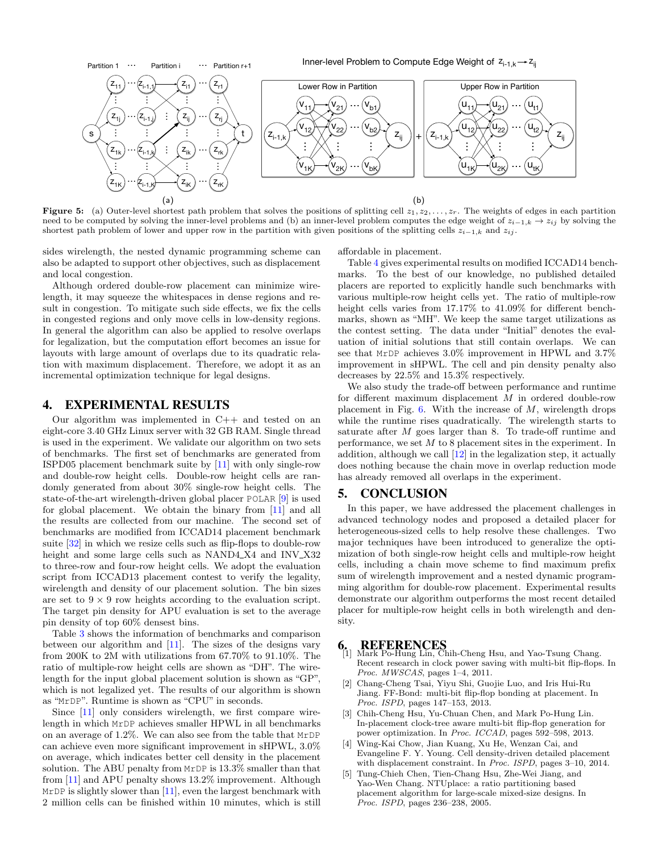<span id="page-6-7"></span><span id="page-6-6"></span>

Figure 5: (a) Outer-level shortest path problem that solves the positions of splitting cell  $z_1, z_2, \ldots, z_r$ . The weights of edges in each partition need to be computed by solving the inner-level problems and (b) an inner-level problem computes the edge weight of  $z_{i-1,k} \to z_{ij}$  by solving the shortest path problem of lower and upper row in the partition with given positions of the splitting cells  $z_{i-1,k}$  and  $z_{ij}$ .

sides wirelength, the nested dynamic programming scheme can also be adapted to support other objectives, such as displacement and local congestion.

Although ordered double-row placement can minimize wirelength, it may squeeze the whitespaces in dense regions and result in congestion. To mitigate such side effects, we fix the cells in congested regions and only move cells in low-density regions. In general the algorithm can also be applied to resolve overlaps for legalization, but the computation effort becomes an issue for layouts with large amount of overlaps due to its quadratic relation with maximum displacement. Therefore, we adopt it as an incremental optimization technique for legal designs.

#### <span id="page-6-4"></span>4. EXPERIMENTAL RESULTS

Our algorithm was implemented in C++ and tested on an eight-core 3.40 GHz Linux server with 32 GB RAM. Single thread is used in the experiment. We validate our algorithm on two sets of benchmarks. The first set of benchmarks are generated from ISPD05 placement benchmark suite by [\[11\]](#page-7-1) with only single-row and double-row height cells. Double-row height cells are randomly generated from about 30% single-row height cells. The state-of-the-art wirelength-driven global placer POLAR [\[9\]](#page-7-9) is used for global placement. We obtain the binary from [\[11\]](#page-7-1) and all the results are collected from our machine. The second set of benchmarks are modified from ICCAD14 placement benchmark suite [\[32\]](#page-7-19) in which we resize cells such as flip-flops to double-row height and some large cells such as NAND4\_X4 and INV\_X32 to three-row and four-row height cells. We adopt the evaluation script from ICCAD13 placement contest to verify the legality, wirelength and density of our placement solution. The bin sizes are set to  $9 \times 9$  row heights according to the evaluation script. The target pin density for APU evaluation is set to the average pin density of top 60% densest bins.

Table [3](#page-7-20) shows the information of benchmarks and comparison between our algorithm and [\[11\]](#page-7-1). The sizes of the designs vary from 200K to 2M with utilizations from 67.70% to 91.10%. The ratio of multiple-row height cells are shown as "DH". The wirelength for the input global placement solution is shown as "GP", which is not legalized yet. The results of our algorithm is shown as "MrDP". Runtime is shown as "CPU" in seconds.

Since [\[11\]](#page-7-1) only considers wirelength, we first compare wirelength in which MrDP achieves smaller HPWL in all benchmarks on an average of 1.2%. We can also see from the table that MrDP can achieve even more significant improvement in sHPWL, 3.0% on average, which indicates better cell density in the placement solution. The ABU penalty from MrDP is 13.3% smaller than that from [\[11\]](#page-7-1) and APU penalty shows 13.2% improvement. Although MrDP is slightly slower than  $[11]$ , even the largest benchmark with 2 million cells can be finished within 10 minutes, which is still <span id="page-6-8"></span>affordable in placement.

Table [4](#page-7-21) gives experimental results on modified ICCAD14 benchmarks. To the best of our knowledge, no published detailed placers are reported to explicitly handle such benchmarks with various multiple-row height cells yet. The ratio of multiple-row height cells varies from 17.17% to 41.09% for different benchmarks, shown as "MH". We keep the same target utilizations as the contest setting. The data under "Initial" denotes the evaluation of initial solutions that still contain overlaps. We can see that MrDP achieves 3.0% improvement in HPWL and 3.7% improvement in sHPWL. The cell and pin density penalty also decreases by 22.5% and 15.3% respectively.

We also study the trade-off between performance and runtime for different maximum displacement M in ordered double-row placement in Fig.  $6$ . With the increase of  $M$ , wirelength drops while the runtime rises quadratically. The wirelength starts to saturate after  $M$  goes larger than 8. To trade-off runtime and performance, we set M to 8 placement sites in the experiment. In addition, although we call  $[12]$  in the legalization step, it actually does nothing because the chain move in overlap reduction mode has already removed all overlaps in the experiment.

#### <span id="page-6-5"></span>5. CONCLUSION

In this paper, we have addressed the placement challenges in advanced technology nodes and proposed a detailed placer for heterogeneous-sized cells to help resolve these challenges. Two major techniques have been introduced to generalize the optimization of both single-row height cells and multiple-row height cells, including a chain move scheme to find maximum prefix sum of wirelength improvement and a nested dynamic programming algorithm for double-row placement. Experimental results demonstrate our algorithm outperforms the most recent detailed placer for multiple-row height cells in both wirelength and density.

#### 6. REFERENCES

- <span id="page-6-0"></span>Mark Po-Hung Lin, Chih-Cheng Hsu, and Yao-Tsung Chang. Recent research in clock power saving with multi-bit flip-flops. In Proc. MWSCAS, pages 1-4, 2011.
- [2] Chang-Cheng Tsai, Yiyu Shi, Guojie Luo, and Iris Hui-Ru Jiang. FF-Bond: multi-bit flip-flop bonding at placement. In Proc. ISPD, pages 147–153, 2013.
- <span id="page-6-1"></span>[3] Chih-Cheng Hsu, Yu-Chuan Chen, and Mark Po-Hung Lin. In-placement clock-tree aware multi-bit flip-flop generation for power optimization. In Proc. ICCAD, pages 592–598, 2013.
- <span id="page-6-2"></span>[4] Wing-Kai Chow, Jian Kuang, Xu He, Wenzan Cai, and Evangeline F. Y. Young. Cell density-driven detailed placement with displacement constraint. In Proc. ISPD, pages 3-10, 2014.
- <span id="page-6-3"></span>[5] Tung-Chieh Chen, Tien-Chang Hsu, Zhe-Wei Jiang, and Yao-Wen Chang. NTUplace: a ratio partitioning based placement algorithm for large-scale mixed-size designs. In Proc. ISPD, pages 236–238, 2005.